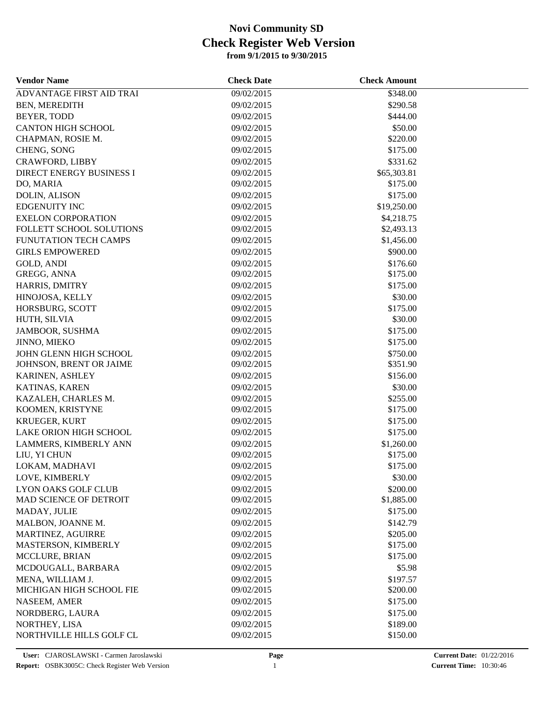| <b>Vendor Name</b>           | <b>Check Date</b> | <b>Check Amount</b> |  |
|------------------------------|-------------------|---------------------|--|
| ADVANTAGE FIRST AID TRAI     | 09/02/2015        | \$348.00            |  |
| BEN, MEREDITH                | 09/02/2015        | \$290.58            |  |
| BEYER, TODD                  | 09/02/2015        | \$444.00            |  |
| <b>CANTON HIGH SCHOOL</b>    | 09/02/2015        | \$50.00             |  |
| CHAPMAN, ROSIE M.            | 09/02/2015        | \$220.00            |  |
| CHENG, SONG                  | 09/02/2015        | \$175.00            |  |
| CRAWFORD, LIBBY              | 09/02/2015        | \$331.62            |  |
| DIRECT ENERGY BUSINESS I     | 09/02/2015        | \$65,303.81         |  |
| DO, MARIA                    | 09/02/2015        | \$175.00            |  |
| <b>DOLIN, ALISON</b>         | 09/02/2015        | \$175.00            |  |
| <b>EDGENUITY INC</b>         | 09/02/2015        | \$19,250.00         |  |
| <b>EXELON CORPORATION</b>    | 09/02/2015        | \$4,218.75          |  |
| FOLLETT SCHOOL SOLUTIONS     | 09/02/2015        | \$2,493.13          |  |
| <b>FUNUTATION TECH CAMPS</b> | 09/02/2015        | \$1,456.00          |  |
| <b>GIRLS EMPOWERED</b>       | 09/02/2015        | \$900.00            |  |
| <b>GOLD, ANDI</b>            | 09/02/2015        | \$176.60            |  |
| GREGG, ANNA                  | 09/02/2015        | \$175.00            |  |
| HARRIS, DMITRY               | 09/02/2015        | \$175.00            |  |
| HINOJOSA, KELLY              | 09/02/2015        | \$30.00             |  |
| HORSBURG, SCOTT              | 09/02/2015        | \$175.00            |  |
| HUTH, SILVIA                 | 09/02/2015        | \$30.00             |  |
| JAMBOOR, SUSHMA              | 09/02/2015        | \$175.00            |  |
| <b>JINNO, MIEKO</b>          | 09/02/2015        | \$175.00            |  |
| JOHN GLENN HIGH SCHOOL       | 09/02/2015        | \$750.00            |  |
| JOHNSON, BRENT OR JAIME      | 09/02/2015        | \$351.90            |  |
| KARINEN, ASHLEY              | 09/02/2015        | \$156.00            |  |
| KATINAS, KAREN               | 09/02/2015        | \$30.00             |  |
| KAZALEH, CHARLES M.          | 09/02/2015        | \$255.00            |  |
| KOOMEN, KRISTYNE             | 09/02/2015        | \$175.00            |  |
| <b>KRUEGER, KURT</b>         | 09/02/2015        | \$175.00            |  |
| LAKE ORION HIGH SCHOOL       | 09/02/2015        | \$175.00            |  |
| LAMMERS, KIMBERLY ANN        | 09/02/2015        | \$1,260.00          |  |
| LIU, YI CHUN                 | 09/02/2015        | \$175.00            |  |
| LOKAM, MADHAVI               | 09/02/2015        | \$175.00            |  |
| LOVE, KIMBERLY               | 09/02/2015        | \$30.00             |  |
| <b>LYON OAKS GOLF CLUB</b>   | 09/02/2015        | \$200.00            |  |
| MAD SCIENCE OF DETROIT       | 09/02/2015        | \$1,885.00          |  |
| MADAY, JULIE                 | 09/02/2015        | \$175.00            |  |
| MALBON, JOANNE M.            | 09/02/2015        | \$142.79            |  |
| MARTINEZ, AGUIRRE            | 09/02/2015        | \$205.00            |  |
| MASTERSON, KIMBERLY          | 09/02/2015        | \$175.00            |  |
| <b>MCCLURE, BRIAN</b>        | 09/02/2015        | \$175.00            |  |
| MCDOUGALL, BARBARA           | 09/02/2015        | \$5.98              |  |
| MENA, WILLIAM J.             | 09/02/2015        | \$197.57            |  |
| MICHIGAN HIGH SCHOOL FIE     | 09/02/2015        | \$200.00            |  |
| NASEEM, AMER                 | 09/02/2015        | \$175.00            |  |
| NORDBERG, LAURA              | 09/02/2015        | \$175.00            |  |
| NORTHEY, LISA                | 09/02/2015        | \$189.00            |  |
| NORTHVILLE HILLS GOLF CL     | 09/02/2015        | \$150.00            |  |
|                              |                   |                     |  |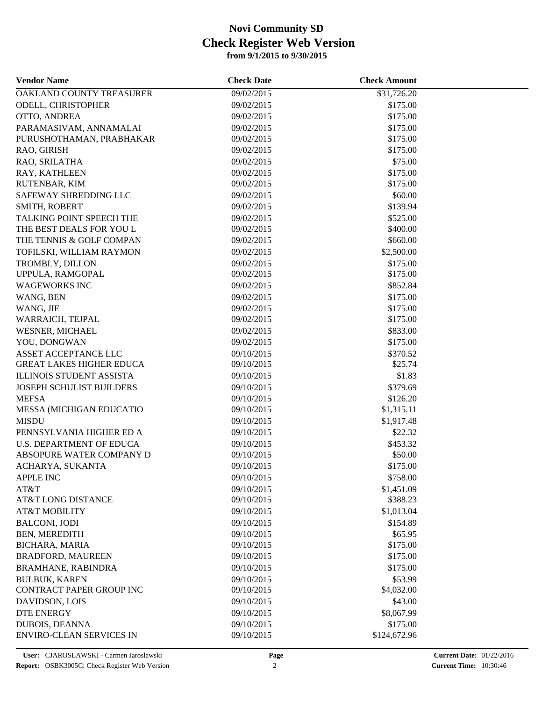| <b>Vendor Name</b>              | <b>Check Date</b> | <b>Check Amount</b> |  |
|---------------------------------|-------------------|---------------------|--|
| OAKLAND COUNTY TREASURER        | 09/02/2015        | \$31,726.20         |  |
| ODELL, CHRISTOPHER              | 09/02/2015        | \$175.00            |  |
| OTTO, ANDREA                    | 09/02/2015        | \$175.00            |  |
| PARAMASIVAM, ANNAMALAI          | 09/02/2015        | \$175.00            |  |
| PURUSHOTHAMAN, PRABHAKAR        | 09/02/2015        | \$175.00            |  |
| RAO, GIRISH                     | 09/02/2015        | \$175.00            |  |
| RAO, SRILATHA                   | 09/02/2015        | \$75.00             |  |
| RAY, KATHLEEN                   | 09/02/2015        | \$175.00            |  |
| RUTENBAR, KIM                   | 09/02/2015        | \$175.00            |  |
| SAFEWAY SHREDDING LLC           | 09/02/2015        | \$60.00             |  |
| SMITH, ROBERT                   | 09/02/2015        | \$139.94            |  |
| TALKING POINT SPEECH THE        | 09/02/2015        | \$525.00            |  |
| THE BEST DEALS FOR YOU L        | 09/02/2015        | \$400.00            |  |
| THE TENNIS & GOLF COMPAN        | 09/02/2015        | \$660.00            |  |
| TOFILSKI, WILLIAM RAYMON        | 09/02/2015        | \$2,500.00          |  |
| TROMBLY, DILLON                 | 09/02/2015        | \$175.00            |  |
| UPPULA, RAMGOPAL                | 09/02/2015        | \$175.00            |  |
| <b>WAGEWORKS INC</b>            | 09/02/2015        | \$852.84            |  |
| WANG, BEN                       | 09/02/2015        | \$175.00            |  |
| WANG, JIE                       | 09/02/2015        | \$175.00            |  |
| WARRAICH, TEJPAL                | 09/02/2015        | \$175.00            |  |
| WESNER, MICHAEL                 | 09/02/2015        | \$833.00            |  |
| YOU, DONGWAN                    | 09/02/2015        | \$175.00            |  |
| ASSET ACCEPTANCE LLC            | 09/10/2015        | \$370.52            |  |
| <b>GREAT LAKES HIGHER EDUCA</b> | 09/10/2015        | \$25.74             |  |
| <b>ILLINOIS STUDENT ASSISTA</b> | 09/10/2015        | \$1.83              |  |
| JOSEPH SCHULIST BUILDERS        | 09/10/2015        | \$379.69            |  |
| <b>MEFSA</b>                    | 09/10/2015        | \$126.20            |  |
| MESSA (MICHIGAN EDUCATIO        | 09/10/2015        | \$1,315.11          |  |
| <b>MISDU</b>                    | 09/10/2015        | \$1,917.48          |  |
| PENNSYLVANIA HIGHER ED A        | 09/10/2015        | \$22.32             |  |
| <b>U.S. DEPARTMENT OF EDUCA</b> | 09/10/2015        | \$453.32            |  |
| ABSOPURE WATER COMPANY D        | 09/10/2015        | \$50.00             |  |
| ACHARYA, SUKANTA                | 09/10/2015        | \$175.00            |  |
| <b>APPLE INC</b>                | 09/10/2015        | \$758.00            |  |
| AT&T                            | 09/10/2015        | \$1,451.09          |  |
| AT&T LONG DISTANCE              | 09/10/2015        | \$388.23            |  |
| <b>AT&amp;T MOBILITY</b>        | 09/10/2015        | \$1,013.04          |  |
| <b>BALCONI, JODI</b>            | 09/10/2015        | \$154.89            |  |
| BEN, MEREDITH                   | 09/10/2015        | \$65.95             |  |
| <b>BICHARA, MARIA</b>           | 09/10/2015        | \$175.00            |  |
| <b>BRADFORD, MAUREEN</b>        | 09/10/2015        | \$175.00            |  |
| BRAMHANE, RABINDRA              | 09/10/2015        | \$175.00            |  |
| <b>BULBUK, KAREN</b>            | 09/10/2015        | \$53.99             |  |
| CONTRACT PAPER GROUP INC        | 09/10/2015        | \$4,032.00          |  |
|                                 |                   |                     |  |
| DAVIDSON, LOIS                  | 09/10/2015        | \$43.00             |  |
| <b>DTE ENERGY</b>               | 09/10/2015        | \$8,067.99          |  |
| <b>DUBOIS, DEANNA</b>           | 09/10/2015        | \$175.00            |  |
| <b>ENVIRO-CLEAN SERVICES IN</b> | 09/10/2015        | \$124,672.96        |  |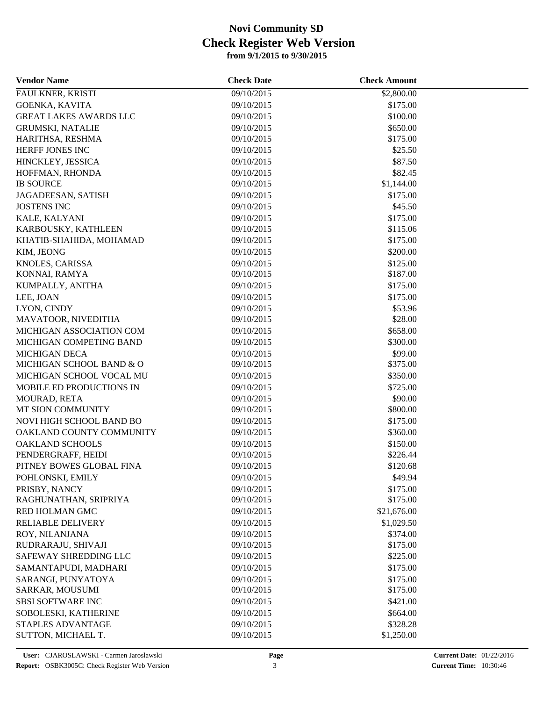| <b>Vendor Name</b>            | <b>Check Date</b> | <b>Check Amount</b> |  |
|-------------------------------|-------------------|---------------------|--|
| FAULKNER, KRISTI              | 09/10/2015        | \$2,800.00          |  |
| GOENKA, KAVITA                | 09/10/2015        | \$175.00            |  |
| <b>GREAT LAKES AWARDS LLC</b> | 09/10/2015        | \$100.00            |  |
| <b>GRUMSKI, NATALIE</b>       | 09/10/2015        | \$650.00            |  |
| HARITHSA, RESHMA              | 09/10/2015        | \$175.00            |  |
| HERFF JONES INC               | 09/10/2015        | \$25.50             |  |
| HINCKLEY, JESSICA             | 09/10/2015        | \$87.50             |  |
| HOFFMAN, RHONDA               | 09/10/2015        | \$82.45             |  |
| <b>IB SOURCE</b>              | 09/10/2015        | \$1,144.00          |  |
| JAGADEESAN, SATISH            | 09/10/2015        | \$175.00            |  |
| <b>JOSTENS INC</b>            | 09/10/2015        | \$45.50             |  |
| KALE, KALYANI                 | 09/10/2015        | \$175.00            |  |
| KARBOUSKY, KATHLEEN           | 09/10/2015        | \$115.06            |  |
| KHATIB-SHAHIDA, MOHAMAD       | 09/10/2015        | \$175.00            |  |
| KIM, JEONG                    | 09/10/2015        | \$200.00            |  |
| KNOLES, CARISSA               | 09/10/2015        | \$125.00            |  |
| KONNAI, RAMYA                 | 09/10/2015        | \$187.00            |  |
| KUMPALLY, ANITHA              | 09/10/2015        | \$175.00            |  |
| LEE, JOAN                     | 09/10/2015        | \$175.00            |  |
| LYON, CINDY                   | 09/10/2015        | \$53.96             |  |
| MAVATOOR, NIVEDITHA           | 09/10/2015        | \$28.00             |  |
| MICHIGAN ASSOCIATION COM      | 09/10/2015        | \$658.00            |  |
| MICHIGAN COMPETING BAND       | 09/10/2015        | \$300.00            |  |
| <b>MICHIGAN DECA</b>          | 09/10/2015        | \$99.00             |  |
| MICHIGAN SCHOOL BAND & O      | 09/10/2015        | \$375.00            |  |
| MICHIGAN SCHOOL VOCAL MU      | 09/10/2015        | \$350.00            |  |
| MOBILE ED PRODUCTIONS IN      |                   |                     |  |
|                               | 09/10/2015        | \$725.00            |  |
| MOURAD, RETA                  | 09/10/2015        | \$90.00             |  |
| MT SION COMMUNITY             | 09/10/2015        | \$800.00            |  |
| NOVI HIGH SCHOOL BAND BO      | 09/10/2015        | \$175.00            |  |
| OAKLAND COUNTY COMMUNITY      | 09/10/2015        | \$360.00            |  |
| <b>OAKLAND SCHOOLS</b>        | 09/10/2015        | \$150.00            |  |
| PENDERGRAFF, HEIDI            | 09/10/2015        | \$226.44            |  |
| PITNEY BOWES GLOBAL FINA      | 09/10/2015        | \$120.68            |  |
| POHLONSKI, EMILY              | 09/10/2015        | \$49.94             |  |
| PRISBY, NANCY                 | 09/10/2015        | \$175.00            |  |
| RAGHUNATHAN, SRIPRIYA         | 09/10/2015        | \$175.00            |  |
| RED HOLMAN GMC                | 09/10/2015        | \$21,676.00         |  |
| RELIABLE DELIVERY             | 09/10/2015        | \$1,029.50          |  |
| ROY, NILANJANA                | 09/10/2015        | \$374.00            |  |
| RUDRARAJU, SHIVAJI            | 09/10/2015        | \$175.00            |  |
| SAFEWAY SHREDDING LLC         | 09/10/2015        | \$225.00            |  |
| SAMANTAPUDI, MADHARI          | 09/10/2015        | \$175.00            |  |
| SARANGI, PUNYATOYA            | 09/10/2015        | \$175.00            |  |
| SARKAR, MOUSUMI               | 09/10/2015        | \$175.00            |  |
| <b>SBSI SOFTWARE INC</b>      | 09/10/2015        | \$421.00            |  |
| SOBOLESKI, KATHERINE          | 09/10/2015        | \$664.00            |  |
| STAPLES ADVANTAGE             | 09/10/2015        | \$328.28            |  |
| SUTTON, MICHAEL T.            | 09/10/2015        | \$1,250.00          |  |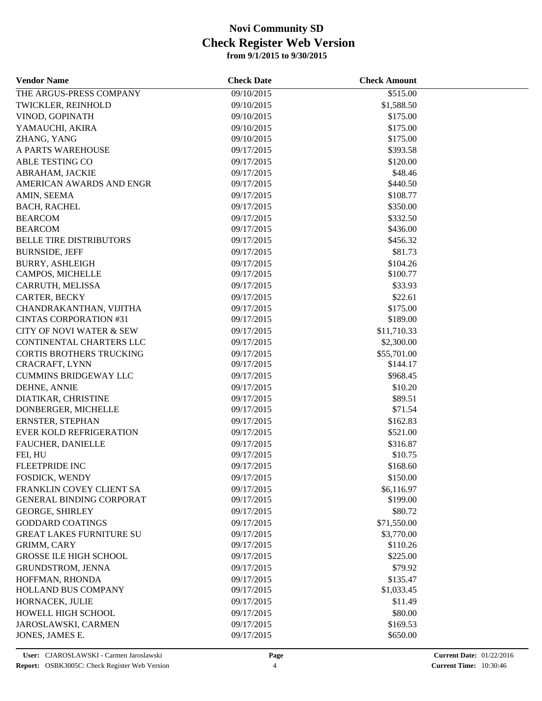| <b>Vendor Name</b>                  | <b>Check Date</b> | <b>Check Amount</b> |  |
|-------------------------------------|-------------------|---------------------|--|
| THE ARGUS-PRESS COMPANY             | 09/10/2015        | \$515.00            |  |
| TWICKLER, REINHOLD                  | 09/10/2015        | \$1,588.50          |  |
| VINOD, GOPINATH                     | 09/10/2015        | \$175.00            |  |
| YAMAUCHI, AKIRA                     | 09/10/2015        | \$175.00            |  |
| ZHANG, YANG                         | 09/10/2015        | \$175.00            |  |
| A PARTS WAREHOUSE                   | 09/17/2015        | \$393.58            |  |
| ABLE TESTING CO                     | 09/17/2015        | \$120.00            |  |
| ABRAHAM, JACKIE                     | 09/17/2015        | \$48.46             |  |
| AMERICAN AWARDS AND ENGR            | 09/17/2015        | \$440.50            |  |
| AMIN, SEEMA                         | 09/17/2015        | \$108.77            |  |
| <b>BACH, RACHEL</b>                 | 09/17/2015        | \$350.00            |  |
| <b>BEARCOM</b>                      | 09/17/2015        | \$332.50            |  |
| <b>BEARCOM</b>                      | 09/17/2015        | \$436.00            |  |
| <b>BELLE TIRE DISTRIBUTORS</b>      | 09/17/2015        | \$456.32            |  |
| <b>BURNSIDE, JEFF</b>               | 09/17/2015        | \$81.73             |  |
| <b>BURRY, ASHLEIGH</b>              | 09/17/2015        | \$104.26            |  |
| CAMPOS, MICHELLE                    | 09/17/2015        | \$100.77            |  |
| CARRUTH, MELISSA                    | 09/17/2015        | \$33.93             |  |
| <b>CARTER, BECKY</b>                | 09/17/2015        | \$22.61             |  |
| CHANDRAKANTHAN, VIJITHA             | 09/17/2015        | \$175.00            |  |
| <b>CINTAS CORPORATION #31</b>       | 09/17/2015        | \$189.00            |  |
| <b>CITY OF NOVI WATER &amp; SEW</b> | 09/17/2015        | \$11,710.33         |  |
| CONTINENTAL CHARTERS LLC            | 09/17/2015        | \$2,300.00          |  |
| CORTIS BROTHERS TRUCKING            | 09/17/2015        | \$55,701.00         |  |
| CRACRAFT, LYNN                      | 09/17/2015        | \$144.17            |  |
| <b>CUMMINS BRIDGEWAY LLC</b>        | 09/17/2015        | \$968.45            |  |
| DEHNE, ANNIE                        | 09/17/2015        | \$10.20             |  |
| DIATIKAR, CHRISTINE                 | 09/17/2015        | \$89.51             |  |
| DONBERGER, MICHELLE                 | 09/17/2015        | \$71.54             |  |
| ERNSTER, STEPHAN                    | 09/17/2015        | \$162.83            |  |
| <b>EVER KOLD REFRIGERATION</b>      | 09/17/2015        | \$521.00            |  |
| FAUCHER, DANIELLE                   | 09/17/2015        | \$316.87            |  |
| FEI, HU                             | 09/17/2015        | \$10.75             |  |
| <b>FLEETPRIDE INC</b>               | 09/17/2015        | \$168.60            |  |
| FOSDICK, WENDY                      | 09/17/2015        | \$150.00            |  |
| FRANKLIN COVEY CLIENT SA            | 09/17/2015        | \$6,116.97          |  |
| <b>GENERAL BINDING CORPORAT</b>     | 09/17/2015        | \$199.00            |  |
| <b>GEORGE, SHIRLEY</b>              | 09/17/2015        | \$80.72             |  |
| <b>GODDARD COATINGS</b>             | 09/17/2015        | \$71,550.00         |  |
| <b>GREAT LAKES FURNITURE SU</b>     | 09/17/2015        | \$3,770.00          |  |
| GRIMM, CARY                         | 09/17/2015        | \$110.26            |  |
| <b>GROSSE ILE HIGH SCHOOL</b>       | 09/17/2015        | \$225.00            |  |
| <b>GRUNDSTROM, JENNA</b>            | 09/17/2015        | \$79.92             |  |
| HOFFMAN, RHONDA                     | 09/17/2015        | \$135.47            |  |
| HOLLAND BUS COMPANY                 | 09/17/2015        | \$1,033.45          |  |
| HORNACEK, JULIE                     | 09/17/2015        | \$11.49             |  |
| HOWELL HIGH SCHOOL                  | 09/17/2015        | \$80.00             |  |
| JAROSLAWSKI, CARMEN                 | 09/17/2015        | \$169.53            |  |
| JONES, JAMES E.                     | 09/17/2015        | \$650.00            |  |
|                                     |                   |                     |  |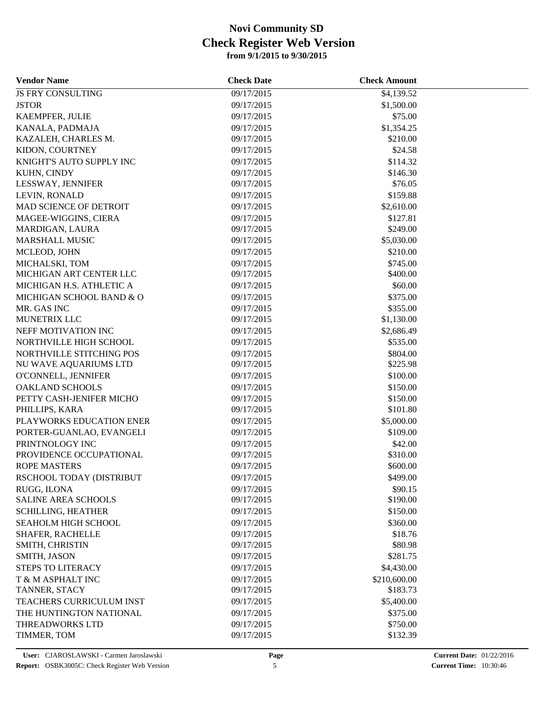| <b>Vendor Name</b>        | <b>Check Date</b> | <b>Check Amount</b> |  |
|---------------------------|-------------------|---------------------|--|
| <b>JS FRY CONSULTING</b>  | 09/17/2015        | \$4,139.52          |  |
| <b>JSTOR</b>              | 09/17/2015        | \$1,500.00          |  |
| KAEMPFER, JULIE           | 09/17/2015        | \$75.00             |  |
| KANALA, PADMAJA           | 09/17/2015        | \$1,354.25          |  |
| KAZALEH, CHARLES M.       | 09/17/2015        | \$210.00            |  |
| KIDON, COURTNEY           | 09/17/2015        | \$24.58             |  |
| KNIGHT'S AUTO SUPPLY INC  | 09/17/2015        | \$114.32            |  |
| KUHN, CINDY               | 09/17/2015        | \$146.30            |  |
| LESSWAY, JENNIFER         | 09/17/2015        | \$76.05             |  |
| LEVIN, RONALD             | 09/17/2015        | \$159.88            |  |
| MAD SCIENCE OF DETROIT    | 09/17/2015        | \$2,610.00          |  |
| MAGEE-WIGGINS, CIERA      | 09/17/2015        | \$127.81            |  |
| MARDIGAN, LAURA           | 09/17/2015        | \$249.00            |  |
| MARSHALL MUSIC            | 09/17/2015        | \$5,030.00          |  |
| MCLEOD, JOHN              | 09/17/2015        | \$210.00            |  |
| MICHALSKI, TOM            | 09/17/2015        | \$745.00            |  |
| MICHIGAN ART CENTER LLC   | 09/17/2015        | \$400.00            |  |
| MICHIGAN H.S. ATHLETIC A  | 09/17/2015        | \$60.00             |  |
| MICHIGAN SCHOOL BAND & O  | 09/17/2015        | \$375.00            |  |
| MR. GAS INC               | 09/17/2015        | \$355.00            |  |
| MUNETRIX LLC              | 09/17/2015        | \$1,130.00          |  |
| NEFF MOTIVATION INC       | 09/17/2015        | \$2,686.49          |  |
| NORTHVILLE HIGH SCHOOL    | 09/17/2015        | \$535.00            |  |
| NORTHVILLE STITCHING POS  | 09/17/2015        | \$804.00            |  |
| NU WAVE AQUARIUMS LTD     | 09/17/2015        | \$225.98            |  |
| O'CONNELL, JENNIFER       | 09/17/2015        | \$100.00            |  |
| <b>OAKLAND SCHOOLS</b>    | 09/17/2015        | \$150.00            |  |
| PETTY CASH-JENIFER MICHO  | 09/17/2015        | \$150.00            |  |
| PHILLIPS, KARA            | 09/17/2015        | \$101.80            |  |
| PLAYWORKS EDUCATION ENER  | 09/17/2015        | \$5,000.00          |  |
| PORTER-GUANLAO, EVANGELI  | 09/17/2015        | \$109.00            |  |
| PRINTNOLOGY INC           | 09/17/2015        | \$42.00             |  |
| PROVIDENCE OCCUPATIONAL   | 09/17/2015        | \$310.00            |  |
| <b>ROPE MASTERS</b>       | 09/17/2015        | \$600.00            |  |
| RSCHOOL TODAY (DISTRIBUT  | 09/17/2015        | \$499.00            |  |
| RUGG, ILONA               | 09/17/2015        | \$90.15             |  |
| SALINE AREA SCHOOLS       | 09/17/2015        | \$190.00            |  |
| <b>SCHILLING, HEATHER</b> | 09/17/2015        | \$150.00            |  |
| SEAHOLM HIGH SCHOOL       | 09/17/2015        | \$360.00            |  |
| SHAFER, RACHELLE          | 09/17/2015        | \$18.76             |  |
| SMITH, CHRISTIN           | 09/17/2015        | \$80.98             |  |
| SMITH, JASON              | 09/17/2015        | \$281.75            |  |
| <b>STEPS TO LITERACY</b>  | 09/17/2015        | \$4,430.00          |  |
| T & M ASPHALT INC         | 09/17/2015        | \$210,600.00        |  |
| TANNER, STACY             | 09/17/2015        | \$183.73            |  |
| TEACHERS CURRICULUM INST  | 09/17/2015        | \$5,400.00          |  |
| THE HUNTINGTON NATIONAL   | 09/17/2015        | \$375.00            |  |
| THREADWORKS LTD           | 09/17/2015        | \$750.00            |  |
| TIMMER, TOM               | 09/17/2015        | \$132.39            |  |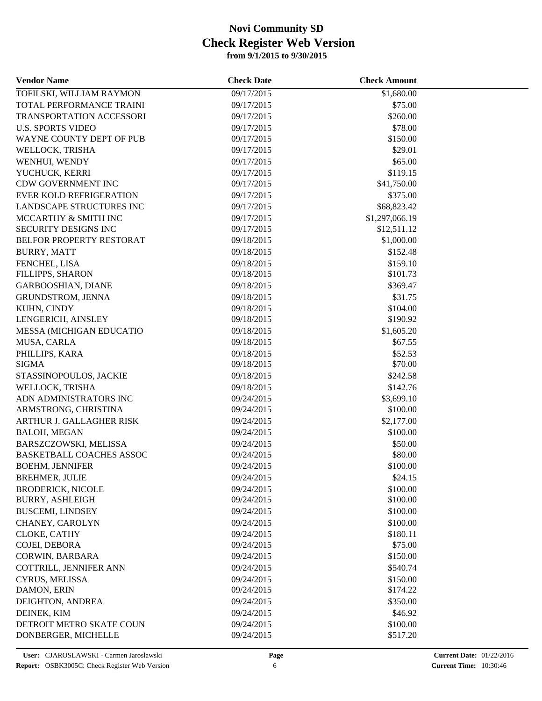| <b>Vendor Name</b>              | <b>Check Date</b> | <b>Check Amount</b> |  |
|---------------------------------|-------------------|---------------------|--|
| TOFILSKI, WILLIAM RAYMON        | 09/17/2015        | \$1,680.00          |  |
| TOTAL PERFORMANCE TRAINI        | 09/17/2015        | \$75.00             |  |
| TRANSPORTATION ACCESSORI        | 09/17/2015        | \$260.00            |  |
| <b>U.S. SPORTS VIDEO</b>        | 09/17/2015        | \$78.00             |  |
| WAYNE COUNTY DEPT OF PUB        | 09/17/2015        | \$150.00            |  |
| WELLOCK, TRISHA                 | 09/17/2015        | \$29.01             |  |
| WENHUI, WENDY                   | 09/17/2015        | \$65.00             |  |
| YUCHUCK, KERRI                  | 09/17/2015        | \$119.15            |  |
| <b>CDW GOVERNMENT INC</b>       | 09/17/2015        | \$41,750.00         |  |
| <b>EVER KOLD REFRIGERATION</b>  | 09/17/2015        | \$375.00            |  |
| LANDSCAPE STRUCTURES INC        | 09/17/2015        | \$68,823.42         |  |
| MCCARTHY & SMITH INC            | 09/17/2015        | \$1,297,066.19      |  |
| SECURITY DESIGNS INC            | 09/17/2015        | \$12,511.12         |  |
| BELFOR PROPERTY RESTORAT        | 09/18/2015        | \$1,000.00          |  |
| <b>BURRY, MATT</b>              | 09/18/2015        | \$152.48            |  |
| FENCHEL, LISA                   | 09/18/2015        | \$159.10            |  |
| FILLIPPS, SHARON                | 09/18/2015        | \$101.73            |  |
| <b>GARBOOSHIAN, DIANE</b>       | 09/18/2015        | \$369.47            |  |
| GRUNDSTROM, JENNA               | 09/18/2015        | \$31.75             |  |
| KUHN, CINDY                     | 09/18/2015        | \$104.00            |  |
| LENGERICH, AINSLEY              | 09/18/2015        | \$190.92            |  |
| <b>MESSA (MICHIGAN EDUCATIO</b> | 09/18/2015        | \$1,605.20          |  |
| MUSA, CARLA                     | 09/18/2015        | \$67.55             |  |
| PHILLIPS, KARA                  | 09/18/2015        | \$52.53             |  |
| <b>SIGMA</b>                    | 09/18/2015        | \$70.00             |  |
| STASSINOPOULOS, JACKIE          | 09/18/2015        | \$242.58            |  |
| WELLOCK, TRISHA                 | 09/18/2015        | \$142.76            |  |
| ADN ADMINISTRATORS INC          | 09/24/2015        | \$3,699.10          |  |
| ARMSTRONG, CHRISTINA            | 09/24/2015        | \$100.00            |  |
| ARTHUR J. GALLAGHER RISK        | 09/24/2015        | \$2,177.00          |  |
| <b>BALOH, MEGAN</b>             | 09/24/2015        | \$100.00            |  |
| BARSZCZOWSKI, MELISSA           | 09/24/2015        | \$50.00             |  |
| <b>BASKETBALL COACHES ASSOC</b> | 09/24/2015        | \$80.00             |  |
| <b>BOEHM, JENNIFER</b>          | 09/24/2015        | \$100.00            |  |
| <b>BREHMER, JULIE</b>           | 09/24/2015        | \$24.15             |  |
| <b>BRODERICK, NICOLE</b>        | 09/24/2015        | \$100.00            |  |
| <b>BURRY, ASHLEIGH</b>          | 09/24/2015        | \$100.00            |  |
| <b>BUSCEMI, LINDSEY</b>         | 09/24/2015        | \$100.00            |  |
| CHANEY, CAROLYN                 | 09/24/2015        | \$100.00            |  |
| CLOKE, CATHY                    | 09/24/2015        | \$180.11            |  |
| COJEI, DEBORA                   | 09/24/2015        | \$75.00             |  |
| CORWIN, BARBARA                 | 09/24/2015        | \$150.00            |  |
| COTTRILL, JENNIFER ANN          | 09/24/2015        | \$540.74            |  |
| CYRUS, MELISSA                  | 09/24/2015        | \$150.00            |  |
| DAMON, ERIN                     | 09/24/2015        | \$174.22            |  |
| DEIGHTON, ANDREA                | 09/24/2015        | \$350.00            |  |
| DEINEK, KIM                     | 09/24/2015        | \$46.92             |  |
| DETROIT METRO SKATE COUN        | 09/24/2015        | \$100.00            |  |
| DONBERGER, MICHELLE             | 09/24/2015        | \$517.20            |  |
|                                 |                   |                     |  |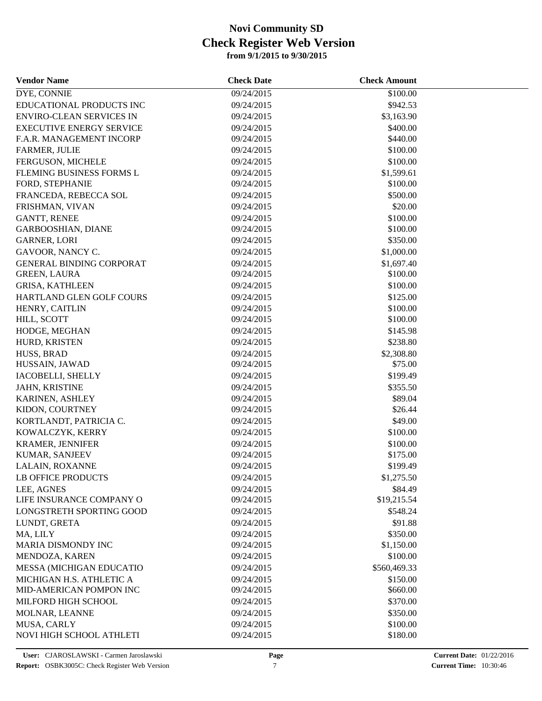| <b>Vendor Name</b>              | <b>Check Date</b> | <b>Check Amount</b> |  |
|---------------------------------|-------------------|---------------------|--|
| DYE, CONNIE                     | 09/24/2015        | \$100.00            |  |
| EDUCATIONAL PRODUCTS INC        | 09/24/2015        | \$942.53            |  |
| <b>ENVIRO-CLEAN SERVICES IN</b> | 09/24/2015        | \$3,163.90          |  |
| <b>EXECUTIVE ENERGY SERVICE</b> | 09/24/2015        | \$400.00            |  |
| F.A.R. MANAGEMENT INCORP        | 09/24/2015        | \$440.00            |  |
| FARMER, JULIE                   | 09/24/2015        | \$100.00            |  |
| FERGUSON, MICHELE               | 09/24/2015        | \$100.00            |  |
| FLEMING BUSINESS FORMS L        | 09/24/2015        | \$1,599.61          |  |
| FORD, STEPHANIE                 | 09/24/2015        | \$100.00            |  |
| FRANCEDA, REBECCA SOL           | 09/24/2015        | \$500.00            |  |
| FRISHMAN, VIVAN                 | 09/24/2015        | \$20.00             |  |
| <b>GANTT, RENEE</b>             | 09/24/2015        | \$100.00            |  |
| GARBOOSHIAN, DIANE              | 09/24/2015        | \$100.00            |  |
| <b>GARNER, LORI</b>             | 09/24/2015        | \$350.00            |  |
| GAVOOR, NANCY C.                | 09/24/2015        | \$1,000.00          |  |
| <b>GENERAL BINDING CORPORAT</b> | 09/24/2015        | \$1,697.40          |  |
| <b>GREEN, LAURA</b>             | 09/24/2015        | \$100.00            |  |
| <b>GRISA, KATHLEEN</b>          | 09/24/2015        | \$100.00            |  |
| HARTLAND GLEN GOLF COURS        | 09/24/2015        | \$125.00            |  |
| HENRY, CAITLIN                  | 09/24/2015        | \$100.00            |  |
| HILL, SCOTT                     | 09/24/2015        | \$100.00            |  |
| HODGE, MEGHAN                   | 09/24/2015        | \$145.98            |  |
| HURD, KRISTEN                   | 09/24/2015        | \$238.80            |  |
| HUSS, BRAD                      | 09/24/2015        | \$2,308.80          |  |
| HUSSAIN, JAWAD                  | 09/24/2015        | \$75.00             |  |
| IACOBELLI, SHELLY               | 09/24/2015        | \$199.49            |  |
| JAHN, KRISTINE                  | 09/24/2015        | \$355.50            |  |
| KARINEN, ASHLEY                 | 09/24/2015        | \$89.04             |  |
| KIDON, COURTNEY                 | 09/24/2015        | \$26.44             |  |
| KORTLANDT, PATRICIA C.          | 09/24/2015        | \$49.00             |  |
| KOWALCZYK, KERRY                | 09/24/2015        | \$100.00            |  |
| <b>KRAMER, JENNIFER</b>         | 09/24/2015        | \$100.00            |  |
| KUMAR, SANJEEV                  | 09/24/2015        | \$175.00            |  |
| LALAIN, ROXANNE                 | 09/24/2015        | \$199.49            |  |
| LB OFFICE PRODUCTS              | 09/24/2015        | \$1,275.50          |  |
| LEE, AGNES                      | 09/24/2015        | \$84.49             |  |
| LIFE INSURANCE COMPANY O        | 09/24/2015        | \$19,215.54         |  |
| LONGSTRETH SPORTING GOOD        | 09/24/2015        | \$548.24            |  |
| LUNDT, GRETA                    | 09/24/2015        | \$91.88             |  |
| MA, LILY                        | 09/24/2015        | \$350.00            |  |
| MARIA DISMONDY INC              | 09/24/2015        | \$1,150.00          |  |
| MENDOZA, KAREN                  | 09/24/2015        | \$100.00            |  |
| MESSA (MICHIGAN EDUCATIO        | 09/24/2015        | \$560,469.33        |  |
| MICHIGAN H.S. ATHLETIC A        | 09/24/2015        | \$150.00            |  |
| MID-AMERICAN POMPON INC         | 09/24/2015        | \$660.00            |  |
| MILFORD HIGH SCHOOL             | 09/24/2015        | \$370.00            |  |
| MOLNAR, LEANNE                  | 09/24/2015        | \$350.00            |  |
| MUSA, CARLY                     | 09/24/2015        | \$100.00            |  |
| NOVI HIGH SCHOOL ATHLETI        | 09/24/2015        | \$180.00            |  |
|                                 |                   |                     |  |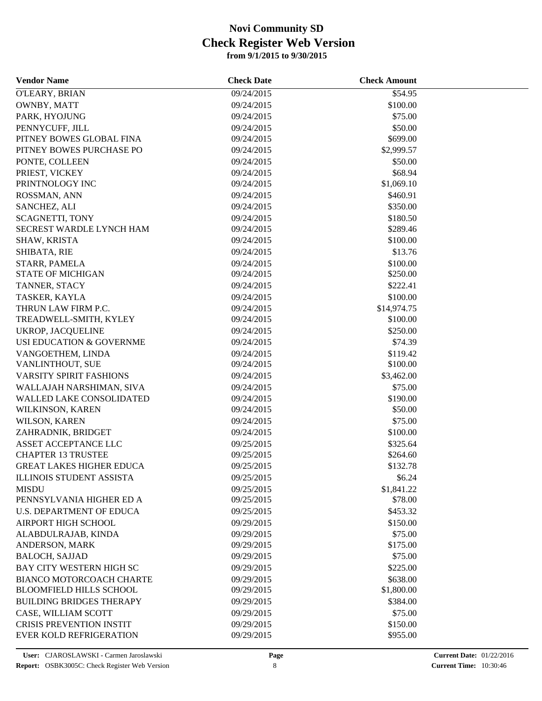| <b>Vendor Name</b>              | <b>Check Date</b> | <b>Check Amount</b> |  |
|---------------------------------|-------------------|---------------------|--|
| O'LEARY, BRIAN                  | 09/24/2015        | \$54.95             |  |
| OWNBY, MATT                     | 09/24/2015        | \$100.00            |  |
| PARK, HYOJUNG                   | 09/24/2015        | \$75.00             |  |
| PENNYCUFF, JILL                 | 09/24/2015        | \$50.00             |  |
| PITNEY BOWES GLOBAL FINA        | 09/24/2015        | \$699.00            |  |
| PITNEY BOWES PURCHASE PO        | 09/24/2015        | \$2,999.57          |  |
| PONTE, COLLEEN                  | 09/24/2015        | \$50.00             |  |
| PRIEST, VICKEY                  | 09/24/2015        | \$68.94             |  |
| PRINTNOLOGY INC                 | 09/24/2015        | \$1,069.10          |  |
| ROSSMAN, ANN                    | 09/24/2015        | \$460.91            |  |
| SANCHEZ, ALI                    | 09/24/2015        | \$350.00            |  |
| <b>SCAGNETTI, TONY</b>          | 09/24/2015        | \$180.50            |  |
| SECREST WARDLE LYNCH HAM        | 09/24/2015        | \$289.46            |  |
| SHAW, KRISTA                    | 09/24/2015        | \$100.00            |  |
| SHIBATA, RIE                    | 09/24/2015        | \$13.76             |  |
| STARR, PAMELA                   | 09/24/2015        | \$100.00            |  |
| <b>STATE OF MICHIGAN</b>        | 09/24/2015        | \$250.00            |  |
| TANNER, STACY                   | 09/24/2015        | \$222.41            |  |
| TASKER, KAYLA                   | 09/24/2015        | \$100.00            |  |
| THRUN LAW FIRM P.C.             | 09/24/2015        | \$14,974.75         |  |
| TREADWELL-SMITH, KYLEY          | 09/24/2015        | \$100.00            |  |
| <b>UKROP, JACQUELINE</b>        | 09/24/2015        | \$250.00            |  |
| USI EDUCATION & GOVERNME        | 09/24/2015        | \$74.39             |  |
| VANGOETHEM, LINDA               | 09/24/2015        | \$119.42            |  |
| VANLINTHOUT, SUE                | 09/24/2015        | \$100.00            |  |
| VARSITY SPIRIT FASHIONS         | 09/24/2015        | \$3,462.00          |  |
| WALLAJAH NARSHIMAN, SIVA        | 09/24/2015        | \$75.00             |  |
| WALLED LAKE CONSOLIDATED        | 09/24/2015        | \$190.00            |  |
| WILKINSON, KAREN                | 09/24/2015        | \$50.00             |  |
| WILSON, KAREN                   | 09/24/2015        | \$75.00             |  |
| ZAHRADNIK, BRIDGET              | 09/24/2015        | \$100.00            |  |
| ASSET ACCEPTANCE LLC            | 09/25/2015        | \$325.64            |  |
| <b>CHAPTER 13 TRUSTEE</b>       | 09/25/2015        | \$264.60            |  |
| <b>GREAT LAKES HIGHER EDUCA</b> | 09/25/2015        | \$132.78            |  |
| <b>ILLINOIS STUDENT ASSISTA</b> | 09/25/2015        | \$6.24              |  |
| <b>MISDU</b>                    | 09/25/2015        | \$1,841.22          |  |
| PENNSYLVANIA HIGHER ED A        | 09/25/2015        | \$78.00             |  |
| <b>U.S. DEPARTMENT OF EDUCA</b> | 09/25/2015        | \$453.32            |  |
| <b>AIRPORT HIGH SCHOOL</b>      | 09/29/2015        | \$150.00            |  |
| ALABDULRAJAB, KINDA             | 09/29/2015        | \$75.00             |  |
| ANDERSON, MARK                  | 09/29/2015        | \$175.00            |  |
| <b>BALOCH, SAJJAD</b>           | 09/29/2015        | \$75.00             |  |
| BAY CITY WESTERN HIGH SC        | 09/29/2015        | \$225.00            |  |
| <b>BIANCO MOTORCOACH CHARTE</b> | 09/29/2015        | \$638.00            |  |
| <b>BLOOMFIELD HILLS SCHOOL</b>  | 09/29/2015        | \$1,800.00          |  |
| <b>BUILDING BRIDGES THERAPY</b> | 09/29/2015        | \$384.00            |  |
| CASE, WILLIAM SCOTT             | 09/29/2015        | \$75.00             |  |
| <b>CRISIS PREVENTION INSTIT</b> | 09/29/2015        | \$150.00            |  |
| <b>EVER KOLD REFRIGERATION</b>  | 09/29/2015        | \$955.00            |  |
|                                 |                   |                     |  |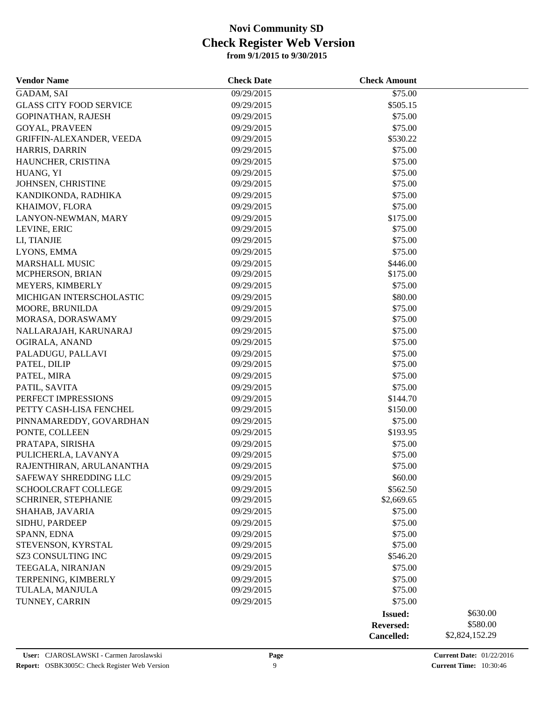| <b>Vendor Name</b>             | <b>Check Date</b> | <b>Check Amount</b> |                |
|--------------------------------|-------------------|---------------------|----------------|
| GADAM, SAI                     | 09/29/2015        | \$75.00             |                |
| <b>GLASS CITY FOOD SERVICE</b> | 09/29/2015        | \$505.15            |                |
| <b>GOPINATHAN, RAJESH</b>      | 09/29/2015        | \$75.00             |                |
| <b>GOYAL, PRAVEEN</b>          | 09/29/2015        | \$75.00             |                |
| GRIFFIN-ALEXANDER, VEEDA       | 09/29/2015        | \$530.22            |                |
| HARRIS, DARRIN                 | 09/29/2015        | \$75.00             |                |
| HAUNCHER, CRISTINA             | 09/29/2015        | \$75.00             |                |
| HUANG, YI                      | 09/29/2015        | \$75.00             |                |
| JOHNSEN, CHRISTINE             | 09/29/2015        | \$75.00             |                |
| KANDIKONDA, RADHIKA            | 09/29/2015        | \$75.00             |                |
| KHAIMOV, FLORA                 | 09/29/2015        | \$75.00             |                |
| LANYON-NEWMAN, MARY            | 09/29/2015        | \$175.00            |                |
| LEVINE, ERIC                   | 09/29/2015        | \$75.00             |                |
| LI, TIANJIE                    | 09/29/2015        | \$75.00             |                |
| LYONS, EMMA                    | 09/29/2015        | \$75.00             |                |
| <b>MARSHALL MUSIC</b>          | 09/29/2015        | \$446.00            |                |
| MCPHERSON, BRIAN               | 09/29/2015        | \$175.00            |                |
| MEYERS, KIMBERLY               | 09/29/2015        | \$75.00             |                |
| MICHIGAN INTERSCHOLASTIC       | 09/29/2015        | \$80.00             |                |
| MOORE, BRUNILDA                | 09/29/2015        | \$75.00             |                |
| MORASA, DORASWAMY              | 09/29/2015        | \$75.00             |                |
| NALLARAJAH, KARUNARAJ          | 09/29/2015        | \$75.00             |                |
| OGIRALA, ANAND                 | 09/29/2015        | \$75.00             |                |
| PALADUGU, PALLAVI              | 09/29/2015        | \$75.00             |                |
| PATEL, DILIP                   | 09/29/2015        | \$75.00             |                |
| PATEL, MIRA                    | 09/29/2015        | \$75.00             |                |
| PATIL, SAVITA                  | 09/29/2015        | \$75.00             |                |
| PERFECT IMPRESSIONS            | 09/29/2015        | \$144.70            |                |
| PETTY CASH-LISA FENCHEL        | 09/29/2015        | \$150.00            |                |
| PINNAMAREDDY, GOVARDHAN        | 09/29/2015        | \$75.00             |                |
| PONTE, COLLEEN                 | 09/29/2015        | \$193.95            |                |
| PRATAPA, SIRISHA               | 09/29/2015        | \$75.00             |                |
| PULICHERLA, LAVANYA            | 09/29/2015        | \$75.00             |                |
| RAJENTHIRAN, ARULANANTHA       | 09/29/2015        | \$75.00             |                |
| SAFEWAY SHREDDING LLC          | 09/29/2015        | \$60.00             |                |
| <b>SCHOOLCRAFT COLLEGE</b>     | 09/29/2015        | \$562.50            |                |
| SCHRINER, STEPHANIE            | 09/29/2015        | \$2,669.65          |                |
| SHAHAB, JAVARIA                | 09/29/2015        | \$75.00             |                |
| SIDHU, PARDEEP                 | 09/29/2015        | \$75.00             |                |
| SPANN, EDNA                    | 09/29/2015        | \$75.00             |                |
| STEVENSON, KYRSTAL             | 09/29/2015        | \$75.00             |                |
| SZ3 CONSULTING INC             | 09/29/2015        | \$546.20            |                |
| TEEGALA, NIRANJAN              | 09/29/2015        | \$75.00             |                |
| TERPENING, KIMBERLY            | 09/29/2015        | \$75.00             |                |
| TULALA, MANJULA                | 09/29/2015        | \$75.00             |                |
| TUNNEY, CARRIN                 | 09/29/2015        | \$75.00             |                |
|                                |                   | <b>Issued:</b>      | \$630.00       |
|                                |                   | Reversed:           | \$580.00       |
|                                |                   | Cancelled:          | \$2,824,152.29 |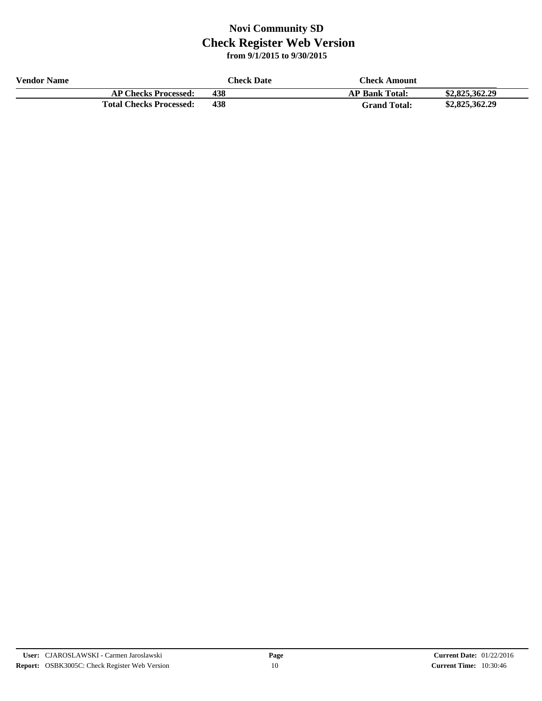| <b>Vendor Name</b> |                                | <b>Check Date</b> | Check Amount          |                |
|--------------------|--------------------------------|-------------------|-----------------------|----------------|
|                    | <b>AP Checks Processed:</b>    | 438               | <b>AP Bank Total:</b> | \$2,825,362.29 |
|                    | <b>Total Checks Processed:</b> | 438               | <b>Grand Total:</b>   | \$2,825,362.29 |